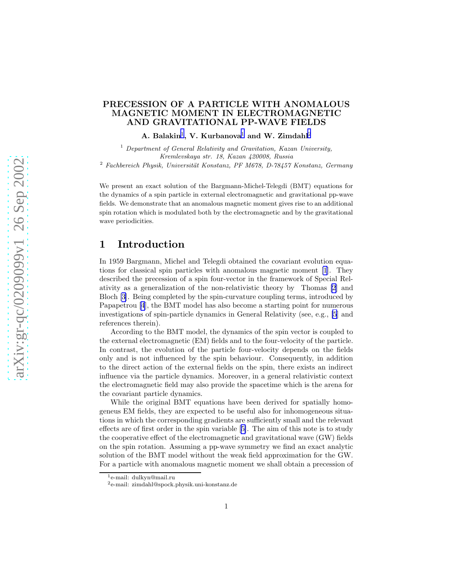## PRECESSION OF A PARTICLE WITH ANOMALOUS MAGNETIC MOMENT IN ELECTROMAGNETIC AND GRAVITATIONAL PP-WAVE FIELDS

### A. Balakin<sup>1</sup>, V. Kurbanova<sup>1</sup> and W. Zimdahl<sup>2</sup>

<sup>1</sup> *Department of General Relativity and Gravitation, Kazan University, Kremlevskaya str. 18, Kazan 420008, Russia*

<sup>2</sup> Fachbereich Physik, Universität Konstanz, PF M678, D-78457 Konstanz, Germany

We present an exact solution of the Bargmann-Michel-Telegdi (BMT) equations for the dynamics of a spin particle in external electromagnetic and gravitational pp-wave fields. We demonstrate that an anomalous magnetic moment gives rise to an additional spin rotation which is modulated both by the electromagnetic and by the gravitational wave periodicities.

## 1 Introduction

In 1959 Bargmann, Michel and Telegdi obtained the covariant evolution equations for classical spin particles with anomalous magnetic moment [\[1](#page-7-0)]. They described the precession of a spin four-vector in the framework of Special Relativity as a generalization of the non-relativistic theory by Thomas [\[2](#page-7-0)] and Bloch [\[3](#page-7-0)]. Being completed by the spin-curvature coupling terms, introduced by Papapetrou [\[4](#page-7-0)], the BMT model has also become a starting point for numerous investigations of spin-particle dynamics in General Relativity (see, e.g., [\[5](#page-7-0)] and references therein).

According to the BMT model, the dynamics of the spin vector is coupled to the external electromagnetic (EM) fields and to the four-velocity of the particle. In contrast, the evolution of the particle four-velocity depends on the fields only and is not influenced by the spin behaviour. Consequently, in addition to the direct action of the external fields on the spin, there exists an indirect influence via the particle dynamics. Moreover, in a general relativistic context the electromagnetic field may also provide the spacetime which is the arena for the covariant particle dynamics.

While the original BMT equations have been derived for spatially homogeneus EM fields, they are expected to be useful also for inhomogeneous situations in which the corresponding gradients are sufficiently small and the relevant effects are of first order in the spin variable[[5\]](#page-7-0). The aim of this note is to study the cooperative effect of the electromagnetic and gravitational wave (GW) fields on the spin rotation. Assuming a pp-wave symmetry we find an exact analytic solution of the BMT model without the weak field approximation for the GW. For a particle with anomalous magnetic moment we shall obtain a precession of

<sup>1</sup>e-mail: dulkyn@mail.ru

<sup>2</sup>e-mail: zimdahl@spock.physik.uni-konstanz.de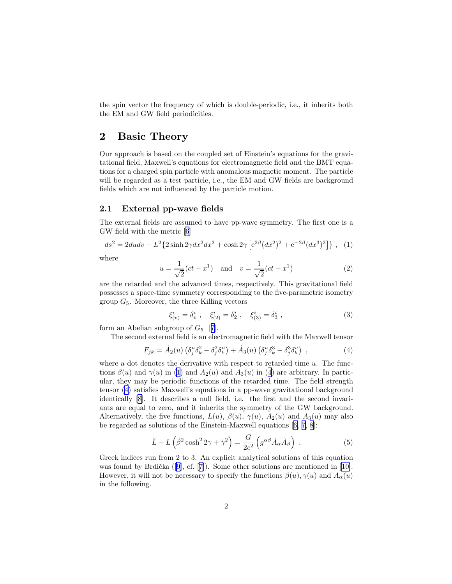<span id="page-1-0"></span>the spin vector the frequency of which is double-periodic, i.e., it inherits both the EM and GW field periodicities.

# 2 Basic Theory

Our approach is based on the coupled set of Einstein's equations for the gravitational field, Maxwell's equations for electromagnetic field and the BMT equations for a charged spin particle with anomalous magnetic moment. The particle will be regarded as a test particle, i.e., the EM and GW fields are background fields which are not influenced by the particle motion.

## 2.1 External pp-wave fields

The external fields are assumed to have pp-wave symmetry. The first one is a GW field with the metric [\[6](#page-7-0)]

$$
ds^{2} = 2du dv - L^{2} \{ 2\sinh 2\gamma dx^{2} dx^{3} + \cosh 2\gamma \left[ e^{2\beta} (dx^{2})^{2} + e^{-2\beta} (dx^{3})^{2} \right] \}, (1)
$$

where

$$
u = \frac{1}{\sqrt{2}}(ct - x^1) \quad \text{and} \quad v = \frac{1}{\sqrt{2}}(ct + x^1)
$$
 (2)

are the retarded and the advanced times, respectively. This gravitational field possesses a space-time symmetry corresponding to the five-parametric isometry group  $G_5$ . Moreover, the three Killing vectors

$$
\xi_{(v)}^i = \delta_v^i \ , \quad \xi_{(2)}^i = \delta_2^i \ , \quad \xi_{(3)}^i = \delta_3^i \ , \tag{3}
$$

form an Abelian subgroup of  $G_5$  [[7\]](#page-7-0).

The second external field is an electromagnetic field with the Maxwell tensor

$$
F_{jk} = \dot{A}_2(u) \left( \delta_j^u \delta_k^2 - \delta_j^2 \delta_k^u \right) + \dot{A}_3(u) \left( \delta_j^u \delta_k^3 - \delta_j^3 \delta_k^u \right) , \qquad (4)
$$

where a dot denotes the derivative with respect to retarded time  $u$ . The functions  $\beta(u)$  and  $\gamma(u)$  in (1) and  $A_2(u)$  and  $A_3(u)$  in (4) are arbitrary. In particular, they may be periodic functions of the retarded time. The field strength tensor (4) satisfies Maxwell's equations in a pp-wave gravitational background identically[[8\]](#page-7-0). It describes a null field, i.e. the first and the second invariants are equal to zero, and it inherits the symmetry of the GW background. Alternatively, the five functions,  $L(u)$ ,  $\beta(u)$ ,  $\gamma(u)$ ,  $A_2(u)$  and  $A_3(u)$  may also be regarded as solutions of the Einstein-Maxwell equations[[6, 7, 8\]](#page-7-0):

$$
\ddot{L} + L\left(\dot{\beta}^2 \cosh^2 2\gamma + \dot{\gamma}^2\right) = \frac{G}{2c^2} \left(g^{\alpha\beta} \dot{A}_{\alpha} \dot{A}_{\beta}\right) . \tag{5}
$$

Greek indices run from 2 to 3. An explicit analytical solutions of this equation wasfound by Brdička  $([9], cf. [7])$  $([9], cf. [7])$  $([9], cf. [7])$  $([9], cf. [7])$  $([9], cf. [7])$ . Some other solutions are mentioned in [[10\]](#page-7-0). However, it will not be necessary to specify the functions  $\beta(u)$ ,  $\gamma(u)$  and  $A_{\alpha}(u)$ in the following.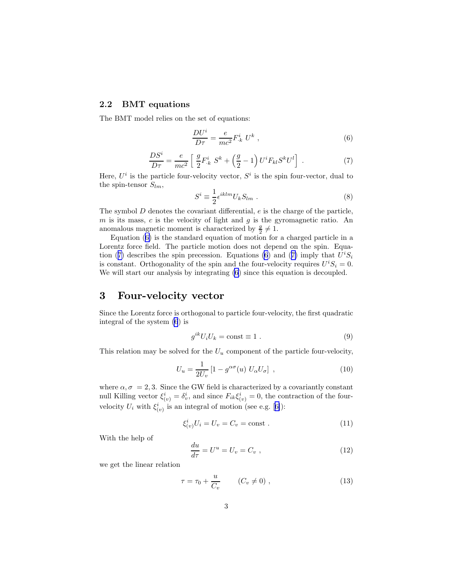#### <span id="page-2-0"></span>2.2 BMT equations

The BMT model relies on the set of equations:

$$
\frac{DU^i}{D\tau} = \frac{e}{mc^2} F^i_{\cdot k} U^k \;, \tag{6}
$$

$$
\frac{DS^{i}}{D\tau} = \frac{e}{mc^{2}} \left[ \frac{g}{2} F_{k}^{i} S^{k} + \left( \frac{g}{2} - 1 \right) U^{i} F_{kl} S^{k} U^{l} \right] . \tag{7}
$$

Here,  $U^i$  is the particle four-velocity vector,  $S^i$  is the spin four-vector, dual to the spin-tensor  $S_{lm}$ ,

$$
S^i \equiv \frac{1}{2} \epsilon^{iklm} U_k S_{lm} . \tag{8}
$$

The symbol  $D$  denotes the covariant differential,  $e$  is the charge of the particle,  $m$  is its mass,  $c$  is the velocity of light and  $g$  is the gyromagnetic ratio. An anomalous magnetic moment is characterized by  $\frac{g}{2} \neq 1$ .

Equation (6) is the standard equation of motion for a charged particle in a Lorentz force field. The particle motion does not depend on the spin. Equation (7) describes the spin precession. Equations (6) and (7) imply that  $U^iS_i$ is constant. Orthogonality of the spin and the four-velocity requires  $U^i S_i = 0$ . We will start our analysis by integrating (6) since this equation is decoupled.

# 3 Four-velocity vector

Since the Lorentz force is orthogonal to particle four-velocity, the first quadratic integral of the system (6) is

$$
g^{ik}U_iU_k = \text{const} \equiv 1 \tag{9}
$$

This relation may be solved for the  $U_u$  component of the particle four-velocity,

$$
U_u = \frac{1}{2U_v} \left[ 1 - g^{\alpha\sigma}(u) \ U_\alpha U_\sigma \right] \,, \tag{10}
$$

where  $\alpha, \sigma = 2, 3$ . Since the GW field is characterized by a covariantly constant null Killing vector  $\xi_{(v)}^i = \delta_v^i$ , and since  $F_{ik}\xi_{(v)}^i = 0$ , the contraction of the four-velocity $U_i$  with  $\xi^i_{(v)}$  is an integral of motion (see e.g. [[6\]](#page-7-0)):

$$
\xi_{(v)}^i U_i = U_v = C_v = \text{const} \tag{11}
$$

With the help of

$$
\frac{du}{d\tau} = U^u = U_v = C_v , \qquad (12)
$$

we get the linear relation

$$
\tau = \tau_0 + \frac{u}{C_v} \qquad (C_v \neq 0) , \qquad (13)
$$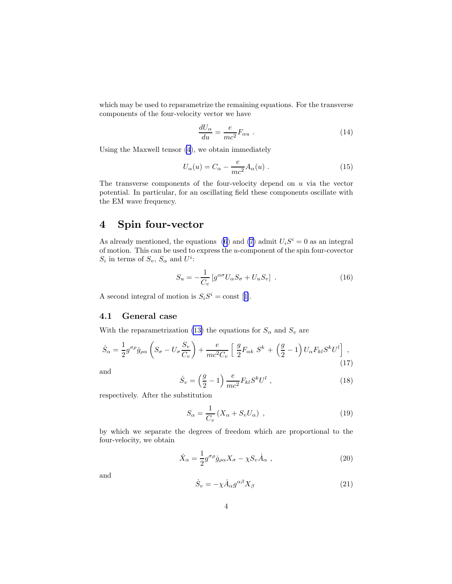<span id="page-3-0"></span>which may be used to reparametrize the remaining equations. For the transverse components of the four-velocity vector we have

$$
\frac{dU_{\alpha}}{du} = \frac{e}{mc^2} F_{\alpha u} \ . \tag{14}
$$

Using the Maxwell tensor [\(4](#page-1-0)), we obtain immediately

$$
U_{\alpha}(u) = C_{\alpha} - \frac{e}{mc^2} A_{\alpha}(u) . \qquad (15)
$$

The transverse components of the four-velocity depend on  $u$  via the vector potential. In particular, for an oscillating field these components oscillate with the EM wave frequency.

# 4 Spin four-vector

As already mentioned, the equations [\(6](#page-2-0)) and [\(7](#page-2-0)) admit  $U_iS^i = 0$  as an integral of motion. This can be used to express the  $u$ -component of the spin four-covector  $S_i$  in terms of  $S_v$ ,  $S_\alpha$  and  $U^i$ :

$$
S_u = -\frac{1}{C_v} \left[ g^{\alpha \sigma} U_\alpha S_\sigma + U_u S_v \right] . \tag{16}
$$

Asecond integral of motion is  $S_i S^i = \text{const}$  [[1\]](#page-7-0).

## 4.1 General case

With the reparametrization [\(13\)](#page-2-0) the equations for  $S_{\alpha}$  and  $S_{\nu}$  are

$$
\dot{S}_{\alpha} = \frac{1}{2} g^{\sigma \rho} \dot{g}_{\rho \alpha} \left( S_{\sigma} - U_{\sigma} \frac{S_{v}}{C_{v}} \right) + \frac{e}{mc^2 C_{v}} \left[ \frac{g}{2} F_{\alpha k} \ S^{k} + \left( \frac{g}{2} - 1 \right) U_{\alpha} F_{k l} S^{k} U^{l} \right],
$$
\n(17)

and

$$
\dot{S}_v = \left(\frac{g}{2} - 1\right) \frac{e}{mc^2} F_{kl} S^k U^l \,, \tag{18}
$$

respectively. After the substitution

$$
S_{\alpha} = \frac{1}{C_v} \left( X_{\alpha} + S_v U_{\alpha} \right) , \qquad (19)
$$

by which we separate the degrees of freedom which are proportional to the four-velocity, we obtain

$$
\dot{X}_{\alpha} = \frac{1}{2} g^{\sigma \rho} \dot{g}_{\rho \alpha} X_{\sigma} - \chi S_{\nu} \dot{A}_{\alpha} , \qquad (20)
$$

and

$$
\dot{S}_v = -\chi \dot{A}_\alpha g^{\alpha\beta} X_\beta \tag{21}
$$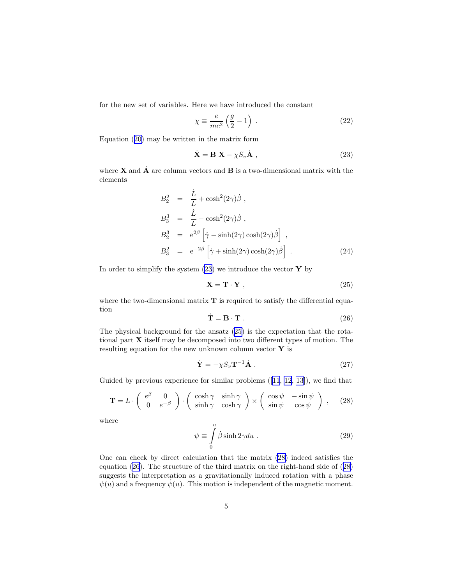<span id="page-4-0"></span>for the new set of variables. Here we have introduced the constant

$$
\chi \equiv \frac{e}{mc^2} \left( \frac{g}{2} - 1 \right) \,. \tag{22}
$$

Equation([20\)](#page-3-0) may be written in the matrix form

$$
\dot{\mathbf{X}} = \mathbf{B} \ \mathbf{X} - \chi S_v \dot{\mathbf{A}} \ , \tag{23}
$$

where **X** and  $\dot{\mathbf{A}}$  are column vectors and **B** is a two-dimensional matrix with the elements

$$
B_2^2 = \frac{\dot{L}}{L} + \cosh^2(2\gamma)\dot{\beta} ,
$$
  
\n
$$
B_3^3 = \frac{\dot{L}}{L} - \cosh^2(2\gamma)\dot{\beta} ,
$$
  
\n
$$
B_2^3 = e^{2\beta} \left[ \dot{\gamma} - \sinh(2\gamma) \cosh(2\gamma)\dot{\beta} \right] ,
$$
  
\n
$$
B_3^2 = e^{-2\beta} \left[ \dot{\gamma} + \sinh(2\gamma) \cosh(2\gamma)\dot{\beta} \right] .
$$
\n(24)

In order to simplify the system  $(23)$  we introduce the vector Y by

$$
\mathbf{X} = \mathbf{T} \cdot \mathbf{Y} \tag{25}
$$

where the two-dimensional matrix  $T$  is required to satisfy the differential equation

$$
\dot{\mathbf{T}} = \mathbf{B} \cdot \mathbf{T} . \tag{26}
$$

The physical background for the ansatz (25) is the expectation that the rotational part X itself may be decomposed into two different types of motion. The resulting equation for the new unknown column vector  $\mathbf Y$  is

$$
\dot{\mathbf{Y}} = -\chi S_v \mathbf{T}^{-1} \dot{\mathbf{A}} \ . \tag{27}
$$

Guided by previous experience for similar problems ([\[11](#page-7-0), [12](#page-7-0), [13](#page-7-0)]), we find that

$$
\mathbf{T} = L \cdot \begin{pmatrix} e^{\beta} & 0 \\ 0 & e^{-\beta} \end{pmatrix} \cdot \begin{pmatrix} \cosh \gamma & \sinh \gamma \\ \sinh \gamma & \cosh \gamma \end{pmatrix} \times \begin{pmatrix} \cos \psi & -\sin \psi \\ \sin \psi & \cos \psi \end{pmatrix} , \quad (28)
$$

where

$$
\psi \equiv \int_{0}^{u} \dot{\beta} \sinh 2\gamma du . \qquad (29)
$$

One can check by direct calculation that the matrix (28) indeed satisfies the equation (26). The structure of the third matrix on the right-hand side of (28) suggests the interpretation as a gravitationally induced rotation with a phase  $\psi(u)$  and a frequency  $\psi(u)$ . This motion is independent of the magnetic moment.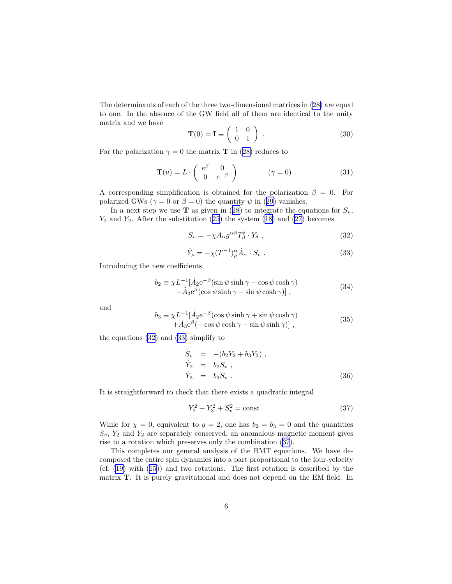<span id="page-5-0"></span>The determinants of each of the three two-dimensional matrices in [\(28\)](#page-4-0) are equal to one. In the absence of the GW field all of them are identical to the unity matrix and we have

$$
\mathbf{T}(0) = \mathbf{I} \equiv \begin{pmatrix} 1 & 0 \\ 0 & 1 \end{pmatrix} . \tag{30}
$$

Forthe polarization  $\gamma = 0$  the matrix **T** in ([28\)](#page-4-0) reduces to

$$
\mathbf{T}(u) = L \cdot \begin{pmatrix} e^{\beta} & 0 \\ 0 & e^{-\beta} \end{pmatrix} \qquad (\gamma = 0) . \tag{31}
$$

A corresponding simplification is obtained for the polarization  $\beta = 0$ . For polarizedGWs ( $\gamma = 0$  or  $\beta = 0$ ) the quantity  $\psi$  in ([29\)](#page-4-0) vanishes.

Ina next step we use **T** as given in ([28\)](#page-4-0) to integrate the equations for  $S_v$ ,  $Y_2$ and  $Y_2$ . After the substitution ([25\)](#page-4-0) the system ([18\)](#page-3-0) and [\(27](#page-4-0)) becomes

$$
\dot{S}_v = -\chi \dot{A}_\alpha g^{\alpha\beta} T^\delta_\beta \cdot Y_\delta \tag{32}
$$

$$
\dot{Y}_{\rho} = -\chi (T^{-1})^{\alpha}_{\rho} \dot{A}_{\alpha} \cdot S_{v} . \qquad (33)
$$

Introducing the new coefficients

$$
b_2 = \chi L^{-1} [\dot{A}_2 e^{-\beta} (\sin \psi \sinh \gamma - \cos \psi \cosh \gamma) + \dot{A}_3 e^{\beta} (\cos \psi \sinh \gamma - \sin \psi \cosh \gamma)],
$$
\n(34)

and

$$
b_3 = \chi L^{-1} [\dot{A}_2 e^{-\beta} (\cos \psi \sinh \gamma + \sin \psi \cosh \gamma) + \dot{A}_3 e^{\beta} (-\cos \psi \cosh \gamma - \sin \psi \sinh \gamma)],
$$
\n(35)

the equations (32) and (33) simplify to

$$
\dot{S}_v = -(b_2Y_2 + b_3Y_3),
$$
  
\n
$$
\dot{Y}_2 = b_2S_v,
$$
  
\n
$$
\dot{Y}_3 = b_3S_v.
$$
\n(36)

It is straightforward to check that there exists a quadratic integral

$$
Y_2^2 + Y_3^2 + S_v^2 = \text{const} \ . \tag{37}
$$

While for  $\chi = 0$ , equivalent to  $g = 2$ , one has  $b_2 = b_3 = 0$  and the quantities  $S_v$ ,  $Y_2$  and  $Y_2$  are separately conserved, an anomalous magnetic moment gives rise to a rotation which preserves only the combination (37).

This completes our general analysis of the BMT equations. We have decomposed the entire spin dynamics into a part proportional to the four-velocity (cf.([19\)](#page-3-0) with [\(15](#page-3-0))) and two rotations. The first rotation is described by the matrix T. It is purely gravitational and does not depend on the EM field. In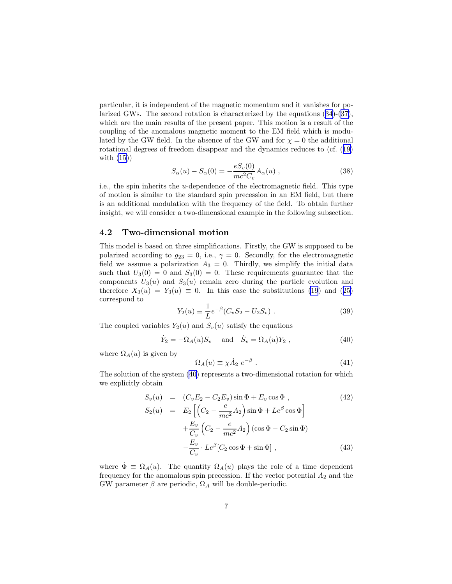<span id="page-6-0"></span>particular, it is independent of the magnetic momentum and it vanishes for polarized GWs. The second rotation is characterized by the equations ([34\)](#page-5-0)-([37\)](#page-5-0), which are the main results of the present paper. This motion is a result of the coupling of the anomalous magnetic moment to the EM field which is modulated by the GW field. In the absence of the GW and for  $\chi = 0$  the additional rotational degrees of freedom disappear and the dynamics reduces to (cf.([19\)](#page-3-0) with  $(15)$ 

$$
S_{\alpha}(u) - S_{\alpha}(0) = -\frac{eS_v(0)}{mc^2C_v}A_{\alpha}(u) ,
$$
 (38)

i.e., the spin inherits the u-dependence of the electromagnetic field. This type of motion is similar to the standard spin precession in an EM field, but there is an additional modulation with the frequency of the field. To obtain further insight, we will consider a two-dimensional example in the following subsection.

### 4.2 Two-dimensional motion

This model is based on three simplifications. Firstly, the GW is supposed to be polarized according to  $g_{23} = 0$ , i.e.,  $\gamma = 0$ . Secondly, for the electromagnetic field we assume a polarization  $A_3 = 0$ . Thirdly, we simplify the initial data such that  $U_3(0) = 0$  and  $S_3(0) = 0$ . These requirements guarantee that the components  $U_3(u)$  and  $S_3(u)$  remain zero during the particle evolution and therefore $X_3(u) = Y_3(u) \equiv 0$ . In this case the substitutions [\(19](#page-3-0)) and ([25\)](#page-4-0) correspond to

$$
Y_2(u) \equiv \frac{1}{L} e^{-\beta} (C_v S_2 - U_2 S_v) . \tag{39}
$$

The coupled variables  $Y_2(u)$  and  $S_v(u)$  satisfy the equations

$$
\dot{Y}_2 = -\Omega_A(u)S_v \quad \text{and} \quad \dot{S}_v = \Omega_A(u)Y_2 , \qquad (40)
$$

where  $\Omega_A(u)$  is given by

$$
\Omega_A(u) \equiv \chi \dot{A}_2 \ e^{-\beta} \ . \tag{41}
$$

The solution of the system (40) represents a two-dimensional rotation for which we explicitly obtain

$$
S_v(u) = (C_v E_2 - C_2 E_v) \sin \Phi + E_v \cos \Phi ,
$$
\n
$$
S_2(u) = E_2 \left[ \left( C_2 - \frac{e}{mc^2} A_2 \right) \sin \Phi + Le^{\beta} \cos \Phi \right]
$$
\n
$$
+ \frac{E_v}{C_v} \left( C_2 - \frac{e}{mc^2} A_2 \right) (\cos \Phi - C_2 \sin \Phi)
$$
\n
$$
- \frac{E_v}{C_v} \cdot Le^{\beta} [C_2 \cos \Phi + \sin \Phi] ,
$$
\n(43)

where  $\dot{\Phi} \equiv \Omega_A(u)$ . The quantity  $\Omega_A(u)$  plays the role of a time dependent frequency for the anomalous spin precession. If the vector potential  $A_2$  and the GW parameter  $\beta$  are periodic,  $\Omega_A$  will be double-periodic.